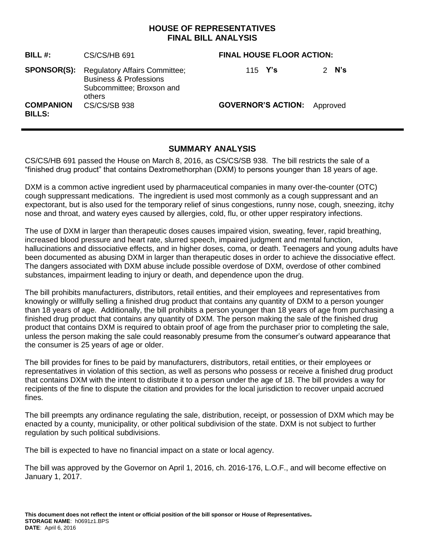## **HOUSE OF REPRESENTATIVES FINAL BILL ANALYSIS**

| BILL#:                            | CS/CS/HB 691                                                                                                                 | <b>FINAL HOUSE FLOOR ACTION:</b>   |  |
|-----------------------------------|------------------------------------------------------------------------------------------------------------------------------|------------------------------------|--|
|                                   | <b>SPONSOR(S):</b> Regulatory Affairs Committee;<br><b>Business &amp; Professions</b><br>Subcommittee; Broxson and<br>others | 2 $N's$<br>115 $Y's$               |  |
| <b>COMPANION</b><br><b>BILLS:</b> | <b>CS/CS/SB 938</b>                                                                                                          | <b>GOVERNOR'S ACTION:</b> Approved |  |

## **SUMMARY ANALYSIS**

CS/CS/HB 691 passed the House on March 8, 2016, as CS/CS/SB 938. The bill restricts the sale of a "finished drug product" that contains Dextromethorphan (DXM) to persons younger than 18 years of age.

DXM is a common active ingredient used by pharmaceutical companies in many over-the-counter (OTC) cough suppressant medications. The ingredient is used most commonly as a cough suppressant and an expectorant, but is also used for the temporary relief of sinus congestions, runny nose, cough, sneezing, itchy nose and throat, and watery eyes caused by allergies, cold, flu, or other upper respiratory infections.

The use of DXM in larger than therapeutic doses causes impaired vision, sweating, fever, rapid breathing, increased blood pressure and heart rate, slurred speech, impaired judgment and mental function, hallucinations and dissociative effects, and in higher doses, coma, or death. Teenagers and young adults have been documented as abusing DXM in larger than therapeutic doses in order to achieve the dissociative effect. The dangers associated with DXM abuse include possible overdose of DXM, overdose of other combined substances, impairment leading to injury or death, and dependence upon the drug.

The bill prohibits manufacturers, distributors, retail entities, and their employees and representatives from knowingly or willfully selling a finished drug product that contains any quantity of DXM to a person younger than 18 years of age. Additionally, the bill prohibits a person younger than 18 years of age from purchasing a finished drug product that contains any quantity of DXM. The person making the sale of the finished drug product that contains DXM is required to obtain proof of age from the purchaser prior to completing the sale, unless the person making the sale could reasonably presume from the consumer's outward appearance that the consumer is 25 years of age or older.

The bill provides for fines to be paid by manufacturers, distributors, retail entities, or their employees or representatives in violation of this section, as well as persons who possess or receive a finished drug product that contains DXM with the intent to distribute it to a person under the age of 18. The bill provides a way for recipients of the fine to dispute the citation and provides for the local jurisdiction to recover unpaid accrued fines.

The bill preempts any ordinance regulating the sale, distribution, receipt, or possession of DXM which may be enacted by a county, municipality, or other political subdivision of the state. DXM is not subject to further regulation by such political subdivisions.

The bill is expected to have no financial impact on a state or local agency.

The bill was approved by the Governor on April 1, 2016, ch. 2016-176, L.O.F., and will become effective on January 1, 2017.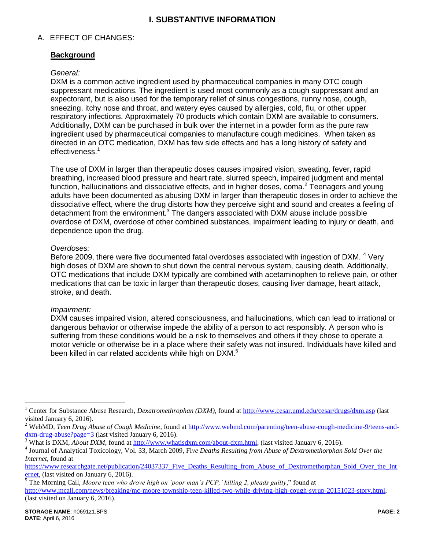# **I. SUBSTANTIVE INFORMATION**

### A. EFFECT OF CHANGES:

## **Background**

#### *General:*

DXM is a common active ingredient used by pharmaceutical companies in many OTC cough suppressant medications. The ingredient is used most commonly as a cough suppressant and an expectorant, but is also used for the temporary relief of sinus congestions, runny nose, cough, sneezing, itchy nose and throat, and watery eyes caused by allergies, cold, flu, or other upper respiratory infections. Approximately 70 products which contain DXM are available to consumers. Additionally, DXM can be purchased in bulk over the internet in a powder form as the pure raw ingredient used by pharmaceutical companies to manufacture cough medicines. When taken as directed in an OTC medication, DXM has few side effects and has a long history of safety and effectiveness.<sup>1</sup>

The use of DXM in larger than therapeutic doses causes impaired vision, sweating, fever, rapid breathing, increased blood pressure and heart rate, slurred speech, impaired judgment and mental function, hallucinations and dissociative effects, and in higher doses, coma.<sup>2</sup> Teenagers and young adults have been documented as abusing DXM in larger than therapeutic doses in order to achieve the dissociative effect, where the drug distorts how they perceive sight and sound and creates a feeling of detachment from the environment. $3$  The dangers associated with DXM abuse include possible overdose of DXM, overdose of other combined substances, impairment leading to injury or death, and dependence upon the drug.

#### *Overdoses:*

Before 2009, there were five documented fatal overdoses associated with ingestion of DXM. <sup>4</sup> Very high doses of DXM are shown to shut down the central nervous system, causing death. Additionally, OTC medications that include DXM typically are combined with acetaminophen to relieve pain, or other medications that can be toxic in larger than therapeutic doses, causing liver damage, heart attack, stroke, and death.

#### *Impairment:*

DXM causes impaired vision, altered consciousness, and hallucinations, which can lead to irrational or dangerous behavior or otherwise impede the ability of a person to act responsibly. A person who is suffering from these conditions would be a risk to themselves and others if they chose to operate a motor vehicle or otherwise be in a place where their safety was not insured. Individuals have killed and been killed in car related accidents while high on DXM.<sup>5</sup>

 $\overline{a}$ 

<sup>1</sup> Center for Substance Abuse Research, *Dexatromethrophan (DXM)*, found at<http://www.cesar.umd.edu/cesar/drugs/dxm.asp> (last visited January 6, 2016).

<sup>&</sup>lt;sup>2</sup> WebMD, *Teen Drug Abuse of Cough Medicine*, found at [http://www.webmd.com/parenting/teen-abuse-cough-medicine-9/teens-and](http://www.webmd.com/parenting/teen-abuse-cough-medicine-9/teens-and-dxm-drug-abuse?page=3)[dxm-drug-abuse?page=3](http://www.webmd.com/parenting/teen-abuse-cough-medicine-9/teens-and-dxm-drug-abuse?page=3) (last visited January 6, 2016).

<sup>&</sup>lt;sup>3</sup> What is DXM, *About DXM*, found at [http://www.whatisdxm.com/about-dxm.html,](http://www.whatisdxm.com/about-dxm.html) (last visited January 6, 2016).

<sup>4</sup> Journal of Analytical Toxicology, Vol. 33, March 2009, Fi*ve Deaths Resulting from Abuse of Dextromethorphan Sold Over the Internet*, found at

[https://www.researchgate.net/publication/24037337\\_Five\\_Deaths\\_Resulting\\_from\\_Abuse\\_of\\_Dextromethorphan\\_Sold\\_Over\\_the\\_Int](https://www.researchgate.net/publication/24037337_Five_Deaths_Resulting_from_Abuse_of_Dextromethorphan_Sold_Over_the_Internet) [ernet,](https://www.researchgate.net/publication/24037337_Five_Deaths_Resulting_from_Abuse_of_Dextromethorphan_Sold_Over_the_Internet) (last visited on January 6, 2016).

<sup>5</sup> The Morning Call, *Moore teen who drove high on 'poor man's PCP,' killing 2, pleads guilty*," found at

[http://www.mcall.com/news/breaking/mc-moore-township-teen-killed-two-while-driving-high-cough-syrup-20151023-story.html,](http://www.mcall.com/news/breaking/mc-moore-township-teen-killed-two-while-driving-high-cough-syrup-20151023-story.html) (last visited on January 6, 2016).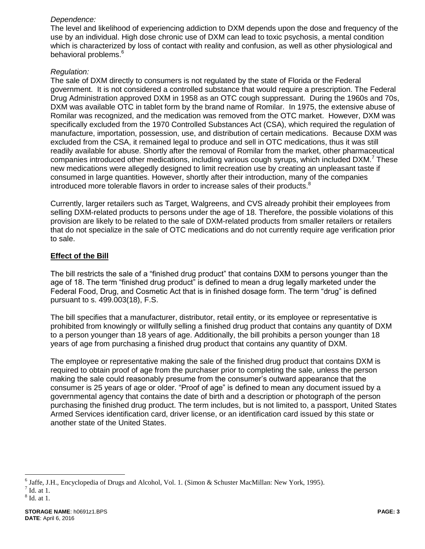### *Dependence:*

The level and likelihood of experiencing addiction to DXM depends upon the dose and frequency of the use by an individual. High dose chronic use of DXM can lead to toxic psychosis, a mental condition which is characterized by loss of contact with reality and confusion, as well as other physiological and behavioral problems.<sup>6</sup>

## *Regulation:*

The sale of DXM directly to consumers is not regulated by the state of Florida or the Federal government. It is not considered a controlled substance that would require a prescription. The Federal Drug Administration approved DXM in 1958 as an OTC cough suppressant. During the 1960s and 70s, DXM was available OTC in tablet form by the brand name of Romilar. In 1975, the extensive abuse of Romilar was recognized, and the medication was removed from the OTC market. However, DXM was specifically excluded from the 1970 Controlled Substances Act (CSA), which required the regulation of manufacture, importation, possession, use, and distribution of certain medications. Because DXM was excluded from the CSA, it remained legal to produce and sell in OTC medications, thus it was still readily available for abuse. Shortly after the removal of Romilar from the market, other pharmaceutical companies introduced other medications, including various cough syrups, which included  $DXM.^7$  These new medications were allegedly designed to limit recreation use by creating an unpleasant taste if consumed in large quantities. However, shortly after their introduction, many of the companies introduced more tolerable flavors in order to increase sales of their products.<sup>8</sup>

Currently, larger retailers such as Target, Walgreens, and CVS already prohibit their employees from selling DXM-related products to persons under the age of 18. Therefore, the possible violations of this provision are likely to be related to the sale of DXM-related products from smaller retailers or retailers that do not specialize in the sale of OTC medications and do not currently require age verification prior to sale.

## **Effect of the Bill**

The bill restricts the sale of a "finished drug product" that contains DXM to persons younger than the age of 18. The term "finished drug product" is defined to mean a drug legally marketed under the Federal Food, Drug, and Cosmetic Act that is in finished dosage form. The term "drug" is defined pursuant to s. 499.003(18), F.S.

The bill specifies that a manufacturer, distributor, retail entity, or its employee or representative is prohibited from knowingly or willfully selling a finished drug product that contains any quantity of DXM to a person younger than 18 years of age. Additionally, the bill prohibits a person younger than 18 years of age from purchasing a finished drug product that contains any quantity of DXM.

The employee or representative making the sale of the finished drug product that contains DXM is required to obtain proof of age from the purchaser prior to completing the sale, unless the person making the sale could reasonably presume from the consumer's outward appearance that the consumer is 25 years of age or older. "Proof of age" is defined to mean any document issued by a governmental agency that contains the date of birth and a description or photograph of the person purchasing the finished drug product. The term includes, but is not limited to, a passport, United States Armed Services identification card, driver license, or an identification card issued by this state or another state of the United States.

 $\overline{a}$ 

<sup>&</sup>lt;sup>6</sup> Jaffe, J.H., Encyclopedia of Drugs and Alcohol, Vol. 1. (Simon & Schuster MacMillan: New York, 1995).

 $<sup>7</sup>$  Id. at 1.</sup>

<sup>8</sup> Id. at 1.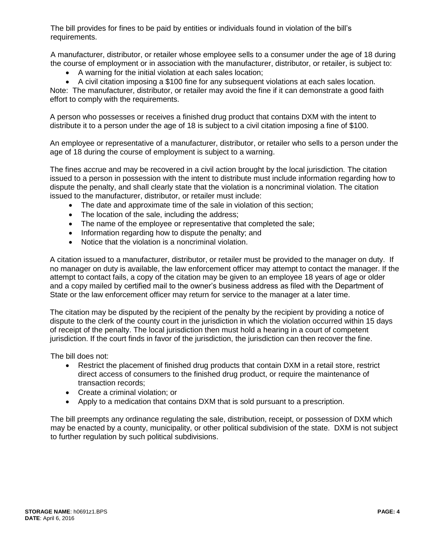The bill provides for fines to be paid by entities or individuals found in violation of the bill's requirements.

A manufacturer, distributor, or retailer whose employee sells to a consumer under the age of 18 during the course of employment or in association with the manufacturer, distributor, or retailer, is subject to:

- A warning for the initial violation at each sales location;
- A civil citation imposing a \$100 fine for any subsequent violations at each sales location.

Note: The manufacturer, distributor, or retailer may avoid the fine if it can demonstrate a good faith effort to comply with the requirements.

A person who possesses or receives a finished drug product that contains DXM with the intent to distribute it to a person under the age of 18 is subject to a civil citation imposing a fine of \$100.

An employee or representative of a manufacturer, distributor, or retailer who sells to a person under the age of 18 during the course of employment is subject to a warning.

The fines accrue and may be recovered in a civil action brought by the local jurisdiction. The citation issued to a person in possession with the intent to distribute must include information regarding how to dispute the penalty, and shall clearly state that the violation is a noncriminal violation. The citation issued to the manufacturer, distributor, or retailer must include:

- The date and approximate time of the sale in violation of this section;
- The location of the sale, including the address;
- The name of the employee or representative that completed the sale;
- Information regarding how to dispute the penalty; and
- Notice that the violation is a noncriminal violation.

A citation issued to a manufacturer, distributor, or retailer must be provided to the manager on duty. If no manager on duty is available, the law enforcement officer may attempt to contact the manager. If the attempt to contact fails, a copy of the citation may be given to an employee 18 years of age or older and a copy mailed by certified mail to the owner's business address as filed with the Department of State or the law enforcement officer may return for service to the manager at a later time.

The citation may be disputed by the recipient of the penalty by the recipient by providing a notice of dispute to the clerk of the county court in the jurisdiction in which the violation occurred within 15 days of receipt of the penalty. The local jurisdiction then must hold a hearing in a court of competent jurisdiction. If the court finds in favor of the jurisdiction, the jurisdiction can then recover the fine.

The bill does not:

- Restrict the placement of finished drug products that contain DXM in a retail store, restrict direct access of consumers to the finished drug product, or require the maintenance of transaction records;
- Create a criminal violation; or
- Apply to a medication that contains DXM that is sold pursuant to a prescription.

The bill preempts any ordinance regulating the sale, distribution, receipt, or possession of DXM which may be enacted by a county, municipality, or other political subdivision of the state. DXM is not subject to further regulation by such political subdivisions.